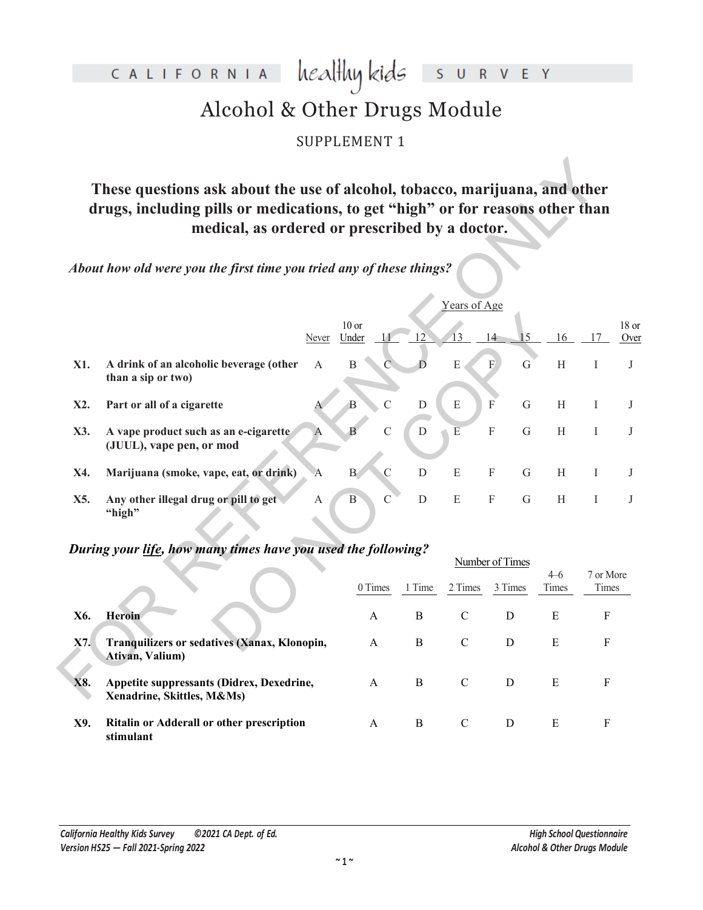CALIFORNIA healthy kids S U R V E Y

# Alcohol & Other Drugs Module

SUPPLEMENT 1

|                                                                                                        | These questions ask about the use of alcohol, tobacco, marijuana, and other<br>drugs, including pills or medications, to get "high" or for reasons other than<br>medical, as ordered or prescribed by a doctor. |              |                  |                |              |                         |             |             |                           |                           |               |
|--------------------------------------------------------------------------------------------------------|-----------------------------------------------------------------------------------------------------------------------------------------------------------------------------------------------------------------|--------------|------------------|----------------|--------------|-------------------------|-------------|-------------|---------------------------|---------------------------|---------------|
|                                                                                                        | About how old were you the first time you tried any of these things?                                                                                                                                            |              |                  |                |              |                         |             |             |                           |                           |               |
|                                                                                                        |                                                                                                                                                                                                                 |              |                  |                |              | Years of Age            |             |             |                           |                           |               |
|                                                                                                        |                                                                                                                                                                                                                 | Never        | $10$ or<br>Under |                | 12           | 13                      | 14          | 15          | 16                        | 17                        | 18 or<br>Over |
| X1.                                                                                                    | A drink of an alcoholic beverage (other<br>than a sip or two)                                                                                                                                                   | $\mathbf{A}$ | $\, {\bf B}$     | $\mathbb{C}$   | D            | E                       | F           | ${\bf G}$   | $\boldsymbol{\mathrm{H}}$ | $\bf{I}$                  | $_{\rm J}$    |
| X2.                                                                                                    | Part or all of a cigarette                                                                                                                                                                                      |              | B                | $\overline{C}$ | ${\rm D}$    | ${\bf E}$               | F           | $\mathbf G$ | $\, {\rm H}$              | I                         | J             |
| X3.                                                                                                    | A vape product such as an e-cigarette<br>(JUUL), vape pen, or mod                                                                                                                                               | A            | $\mathbf{B}$     | $\overline{C}$ | $\mathbf D$  | $\overline{\mathrm{E}}$ | $\mathbf F$ | $\mathbf G$ | $\, {\rm H}$              | Ι                         | J             |
| X4.                                                                                                    | Marijuana (smoke, vape, eat, or drink)                                                                                                                                                                          | $\mathbf{A}$ | $\mathbf{B}$     | $\overline{C}$ | $\mathbf D$  | $\mathbf E$             | $\mathbf F$ | ${\bf G}$   | H                         | $\bf{I}$                  | J             |
| X5.                                                                                                    | Any other illegal drug or pill to get<br>"high"                                                                                                                                                                 | A            | $\, {\bf B}$     | $\mathcal{C}$  | ${\bf D}$    | ${\bf E}$               | $\mathbf F$ | $\mathbf G$ | $\boldsymbol{\mathrm{H}}$ | $\mathbf I$               | J             |
| During your life, how many times have you used the following?<br>Number of Times<br>$4-6$<br>7 or More |                                                                                                                                                                                                                 |              |                  |                |              |                         |             |             |                           |                           |               |
|                                                                                                        |                                                                                                                                                                                                                 |              |                  | 0 Times        | 1 Time       | 2 Times                 |             | 3 Times     | Times                     | Times                     |               |
| X6.                                                                                                    | <b>Heroin</b>                                                                                                                                                                                                   |              |                  | $\mathbf{A}$   | $\, {\bf B}$ | $\mathcal{C}$           |             | $\mathbf D$ | ${\bf E}$                 | $\mathbf F$               |               |
| X7.                                                                                                    | Tranquilizers or sedatives (Xanax, Klonopin,<br>Ativan, Valium)                                                                                                                                                 |              |                  | A              | $\bf{B}$     | $\mathbf C$             |             | D           | ${\bf E}$                 | ${\bf F}$                 |               |
| X8.                                                                                                    | Appetite suppressants (Didrex, Dexedrine,<br>Xenadrine. Skittles. M&Ms)                                                                                                                                         |              |                  | A              | $\bf{B}$     | $\mathcal{C}$           |             | $\mathbf D$ | ${\bf E}$                 | $\boldsymbol{\mathrm{F}}$ |               |

### *During your life, how many times have you used the following?*

|     |                                                                         | Number of Times |        |               |         |                  |                    |
|-----|-------------------------------------------------------------------------|-----------------|--------|---------------|---------|------------------|--------------------|
|     |                                                                         | 0 Times         | 1 Time | 2 Times       | 3 Times | $4 - 6$<br>Times | 7 or More<br>Times |
| X6. | <b>Heroin</b>                                                           | A               | B      | $\mathcal{C}$ | D       | Ε                | F                  |
| X7. | Tranquilizers or sedatives (Xanax, Klonopin,<br>Ativan, Valium)         | A               | B      | C             | D       | Ε                | F                  |
| X8. | Appetite suppressants (Didrex, Dexedrine,<br>Xenadrine, Skittles, M&Ms) | A               | B      | C             | D       | Ε                | F                  |
| X9. | Ritalin or Adderall or other prescription<br>stimulant                  | A               | B      | C             | D       | Ε                | F                  |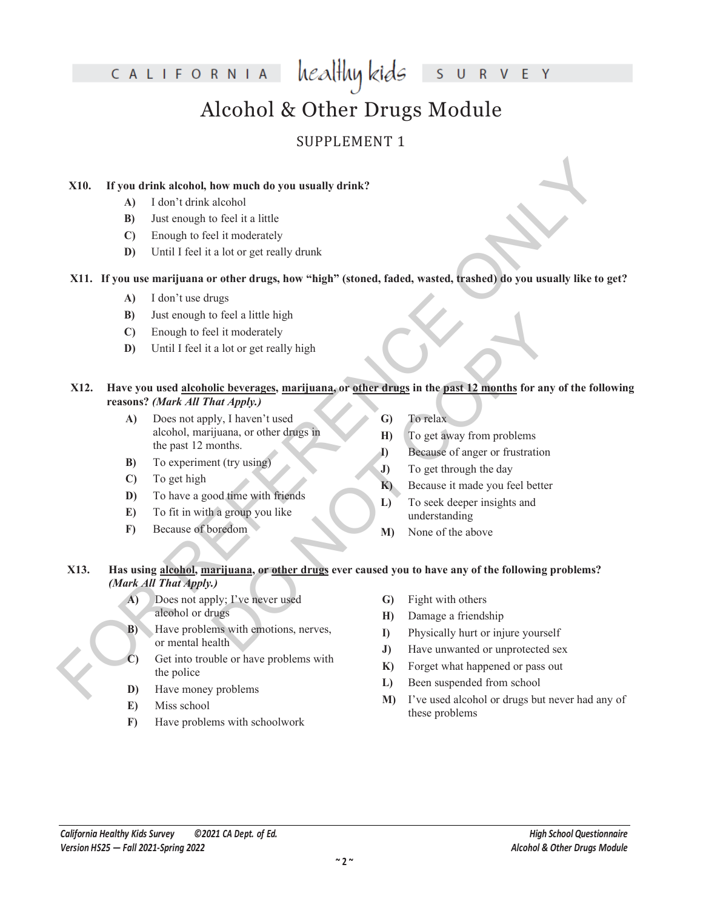V E Y  $\overline{R}$ 

# Alcohol & Other Drugs Module

### SUPPLEMENT 1

### **X10. If you drink alcohol, how much do you usually drink?**

- **A)** I don't drink alcohol
- **B)** Just enough to feel it a little
- **C)** Enough to feel it moderately
- **D)** Until I feel it a lot or get really drunk

### **X11. If you use marijuana or other drugs, how "high" (stoned, faded, wasted, trashed) do you usually like to get?**

- **A)** I don't use drugs
- **B)** Just enough to feel a little high
- **C)** Enough to feel it moderately
- **D)** Until I feel it a lot or get really high

### **X12. Have you used alcoholic beverages, marijuana, or other drugs in the past 12 months for any of the following reasons?** *(Mark All That Apply.)*

- **A)** Does not apply, I haven't used alcohol, marijuana, or other drugs in the past 12 months.
- **B)** To experiment (try using)
- **C)** To get high
- **D)** To have a good time with friends
- **E)** To fit in with a group you like
- **F)** Because of boredom
- **G)** To relax
- **H)** To get away from problems
- **I)** Because of anger or frustration
- **J)** To get through the day
- **K)** Because it made you feel better
- **L)** To seek deeper insights and understanding
- **M)** None of the above

# **X10.** If you drink alcohol, how much do you usually drink?<br>
(A) I don't drink alcohol able in the it in little<br>
(C) Leaough to feel it in other drugs, how "high" (stoned, fuded, wasted, frached) do you usually like to ge o feel a little high<br>
al ot or get really high<br>
al ot or get really high<br> **also beverages, marijuana, or other drugs** in the past 12 months for any of<br>
for drugs in<br>
that *Apply.*)<br>
bly, I haven't used<br>
(G) To relax<br>
(G) T **X13. Has using alcohol, marijuana, or other drugs ever caused you to have any of the following problems?**  *(Mark All That Apply.)*

- **A)** Does not apply; I've never used alcohol or drugs
- **B)** Have problems with emotions, nerves, or mental health
- **C)** Get into trouble or have problems with the police
- **D)** Have money problems
- **E)** Miss school
- **F)** Have problems with schoolwork
- **G)** Fight with others
- **H)** Damage a friendship
- **I)** Physically hurt or injure yourself
- **J)** Have unwanted or unprotected sex
- **K)** Forget what happened or pass out
- **L)** Been suspended from school
- **M)** I've used alcohol or drugs but never had any of these problems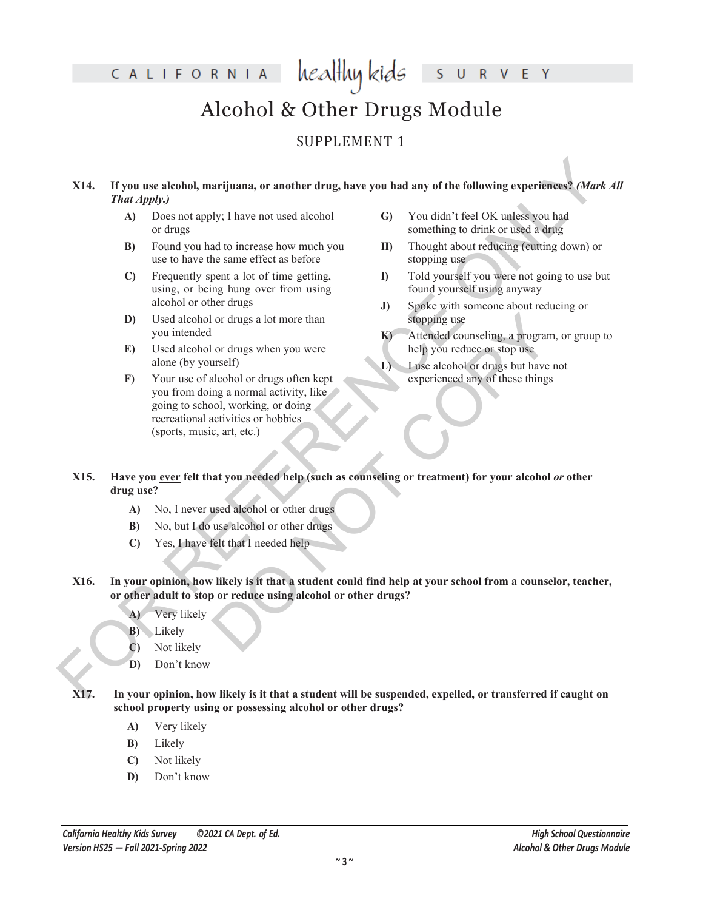E Y

### Alcohol & Other Drugs Module

### SUPPLEMENT 1

# X14. If you use alcohol, marijunna, or another drug, have you had any of the following experiences? (*Mark A.* That a projection of the control of the following the following experiences? (*Mark A.* A. b) these not need a **X14. If you use alcohol, marijuana, or another drug, have you had any of the following experiences?** *(Mark All That Apply.)*

- **A)** Does not apply; I have not used alcohol or drugs
- **B)** Found you had to increase how much you use to have the same effect as before
- **C)** Frequently spent a lot of time getting, using, or being hung over from using alcohol or other drugs
- **D)** Used alcohol or drugs a lot more than you intended
- **E)** Used alcohol or drugs when you were alone (by yourself)
- **F)** Your use of alcohol or drugs often kept you from doing a normal activity, like going to school, working, or doing recreational activities or hobbies (sports, music, art, etc.)
- **G)** You didn't feel OK unless you had something to drink or used a drug
- **H)** Thought about reducing (cutting down) or stopping use
- **I)** Told yourself you were not going to use but found yourself using anyway
- **J)** Spoke with someone about reducing or stopping use
- **K)** Attended counseling, a program, or group to help you reduce or stop use
- **L)** I use alcohol or drugs but have not experienced any of these things
- or drugs a lot more than<br>
or drugs when you were<br>  $\bf{K}$  Attended counseling, a program,<br>
or drugs when you were<br>  $\bf{K}$  Attended counseling, a program,<br>  $\bf{K}$  attended counseling or the line of the street of the stree **X15. Have you ever felt that you needed help (such as counseling or treatment) for your alcohol** *or* **other drug use?**
	- **A)** No, I never used alcohol or other drugs
	- **B)** No, but I do use alcohol or other drugs
	- **C)** Yes, I have felt that I needed help
- **X16. In your opinion, how likely is it that a student could find help at your school from a counselor, teacher, or other adult to stop or reduce using alcohol or other drugs?**
	- **A)** Very likely
	- **B)** Likely
	- **C)** Not likely
	- **D)** Don't know
- **X17. In your opinion, how likely is it that a student will be suspended, expelled, or transferred if caught on school property using or possessing alcohol or other drugs?**
	- **A)** Very likely
	- **B)** Likely
	- **C)** Not likely
	- **D)** Don't know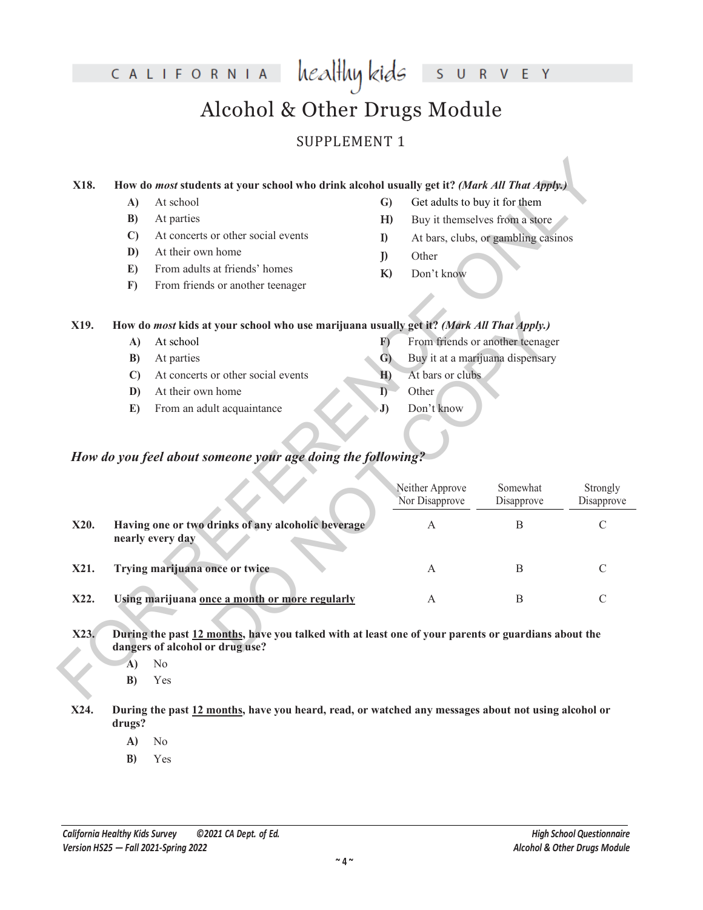R V E Y  $\cup$ 

# Alcohol & Other Drugs Module

### SUPPLEMENT 1

### **X18. How do** *most* **students at your school who drink alcohol usually get it?** *(Mark All That Apply.)*

- **A)** At school
- **B)** At parties
- **C)** At concerts or other social events
- **D)** At their own home
- **E)** From adults at friends' homes
- **F)** From friends or another teenager
- **G)** Get adults to buy it for them
- **H)** Buy it themselves from a store
- **I)** At bars, clubs, or gambling casinos
- **J)** Other
- **K)** Don't know

### **X19. How do** *most* **kids at your school who use marijuana usually get it?** *(Mark All That Apply.)*

### *How do you feel about someone your age doing the following?*

| X18. |              | How do most students at your school who drink alcohol usually get it? (Mark All That Apply.)                                           |                |                                   |                                     |                        |
|------|--------------|----------------------------------------------------------------------------------------------------------------------------------------|----------------|-----------------------------------|-------------------------------------|------------------------|
|      | A)           | At school                                                                                                                              | $\mathbf{G}$   | Get adults to buy it for them     |                                     |                        |
|      | B)           | At parties                                                                                                                             | H)             |                                   | Buy it themselves from a store      |                        |
|      | $\mathbf{C}$ | At concerts or other social events                                                                                                     | I)             |                                   | At bars, clubs, or gambling casinos |                        |
|      | D)           | At their own home                                                                                                                      | $\mathbf{D}$   | Other                             |                                     |                        |
|      | E)           | From adults at friends' homes                                                                                                          |                |                                   |                                     |                        |
|      | F)           | From friends or another teenager                                                                                                       | K)             | Don't know                        |                                     |                        |
|      |              |                                                                                                                                        |                |                                   |                                     |                        |
|      |              |                                                                                                                                        |                |                                   |                                     |                        |
| X19. |              | How do most kids at your school who use marijuana usually get it? (Mark All That Apply.)<br>At school                                  |                |                                   |                                     |                        |
|      | A)           |                                                                                                                                        | F)             |                                   | From friends or another teenager    |                        |
|      | B)           | At parties                                                                                                                             | $\mathbf{G}$   | At bars or clubs                  | Buy it at a marijuana dispensary    |                        |
|      | $\mathbf{C}$ | At concerts or other social events                                                                                                     | H <sub>2</sub> | Other                             |                                     |                        |
|      | D)<br>E)     | At their own home<br>From an adult acquaintance                                                                                        | I)<br>J)       | Don't know                        |                                     |                        |
|      |              | How do you feel about someone your age doing the following?                                                                            |                | Neither Approve<br>Nor Disapprove | Somewhat<br>Disapprove              | Strongly<br>Disapprove |
| X20. |              | Having one or two drinks of any alcoholic beverage<br>nearly every day                                                                 |                | A                                 | $\, {\bf B}$                        | $\mathcal{C}$          |
| X21. |              | Trying marijuana once or twice                                                                                                         |                | A                                 | B                                   | C                      |
| X22. |              | Using marijuana once a month or more regularly                                                                                         |                | A                                 | B                                   | $\mathcal{C}$          |
| X23. |              | During the past 12 months, have you talked with at least one of your parents or guardians about the<br>dangers of alcohol or drug use? |                |                                   |                                     |                        |
|      | A)           | N <sub>o</sub>                                                                                                                         |                |                                   |                                     |                        |
|      | B)           | Yes                                                                                                                                    |                |                                   |                                     |                        |

#### **X23. During the past 12 months, have you talked with at least one of your parents or guardians about the dangers of alcohol or drug use?**

- **A)** No
- **B)** Yes
- **X24. During the past 12 months, have you heard, read, or watched any messages about not using alcohol or drugs?**
	- **A)** No
	- **B)** Yes